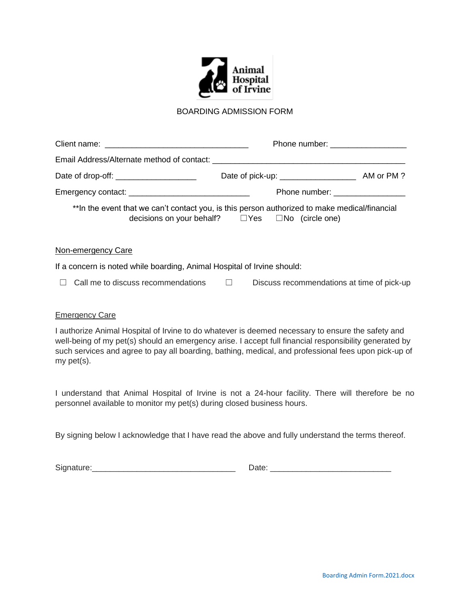

## BOARDING ADMISSION FORM

|                                                                                                               | Phone number: ____________________                |  |  |
|---------------------------------------------------------------------------------------------------------------|---------------------------------------------------|--|--|
| Email Address/Alternate method of contact: contacted and all alternative contact of the state of the state of |                                                   |  |  |
| Date of drop-off: ______________________                                                                      |                                                   |  |  |
|                                                                                                               | Phone number: _________________                   |  |  |
| **In the event that we can't contact you, is this person authorized to make medical/financial                 | decisions on your behalf? □ Yes □ No (circle one) |  |  |

#### Non-emergency Care

If a concern is noted while boarding, Animal Hospital of Irvine should:

|  |  | $\Box$ Call me to discuss recommendations |  | Discuss recommendations at time of pick-up |  |  |  |
|--|--|-------------------------------------------|--|--------------------------------------------|--|--|--|
|--|--|-------------------------------------------|--|--------------------------------------------|--|--|--|

### Emergency Care

I authorize Animal Hospital of Irvine to do whatever is deemed necessary to ensure the safety and well-being of my pet(s) should an emergency arise. I accept full financial responsibility generated by such services and agree to pay all boarding, bathing, medical, and professional fees upon pick-up of my pet(s).

I understand that Animal Hospital of Irvine is not a 24-hour facility. There will therefore be no personnel available to monitor my pet(s) during closed business hours.

By signing below I acknowledge that I have read the above and fully understand the terms thereof.

| Sign | ____ |
|------|------|
|------|------|